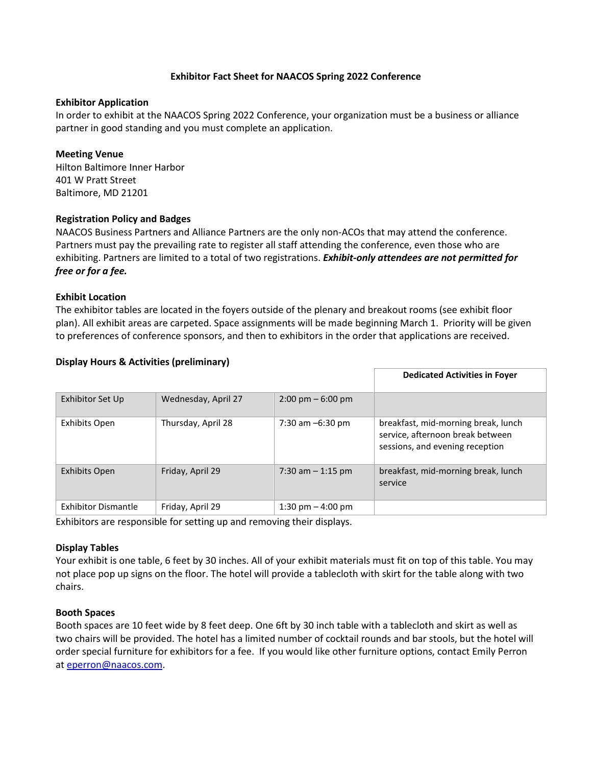# **Exhibitor Fact Sheet for NAACOS Spring 2022 Conference**

#### **Exhibitor Application**

In order to exhibit at the NAACOS Spring 2022 Conference, your organization must be a business or alliance partner in good standing and you must complete an application.

### **Meeting Venue**

Hilton Baltimore Inner Harbor 401 W Pratt Street Baltimore, MD 21201

### **Registration Policy and Badges**

NAACOS Business Partners and Alliance Partners are the only non-ACOs that may attend the conference. Partners must pay the prevailing rate to register all staff attending the conference, even those who are exhibiting. Partners are limited to a total of two registrations. *Exhibit-only attendees are not permitted for free or for a fee.*

### **Exhibit Location**

The exhibitor tables are located in the foyers outside of the plenary and breakout rooms (see exhibit floor plan). All exhibit areas are carpeted. Space assignments will be made beginning March 1. Priority will be given to preferences of conference sponsors, and then to exhibitors in the order that applications are received.

|                     |                     |                                     | <b>Dedicated Activities in Foyer</b>                                                                       |
|---------------------|---------------------|-------------------------------------|------------------------------------------------------------------------------------------------------------|
| Exhibitor Set Up    | Wednesday, April 27 | $2:00 \text{ pm} - 6:00 \text{ pm}$ |                                                                                                            |
| Exhibits Open       | Thursday, April 28  | 7:30 am $-6:30$ pm                  | breakfast, mid-morning break, lunch<br>service, afternoon break between<br>sessions, and evening reception |
| Exhibits Open       | Friday, April 29    | 7:30 am $-$ 1:15 pm                 | breakfast, mid-morning break, lunch<br>service                                                             |
| Exhibitor Dismantle | Friday, April 29    | 1:30 pm $-$ 4:00 pm                 |                                                                                                            |

### **Display Hours & Activities (preliminary)**

Exhibitors are responsible for setting up and removing their displays.

# **Display Tables**

Your exhibit is one table, 6 feet by 30 inches. All of your exhibit materials must fit on top of this table. You may not place pop up signs on the floor. The hotel will provide a tablecloth with skirt for the table along with two chairs.

#### **Booth Spaces**

Booth spaces are 10 feet wide by 8 feet deep. One 6ft by 30 inch table with a tablecloth and skirt as well as two chairs will be provided. The hotel has a limited number of cocktail rounds and bar stools, but the hotel will order special furniture for exhibitors for a fee. If you would like other furniture options, contact Emily Perron at [eperron@naacos.com.](mailto:eperron@naacos.com)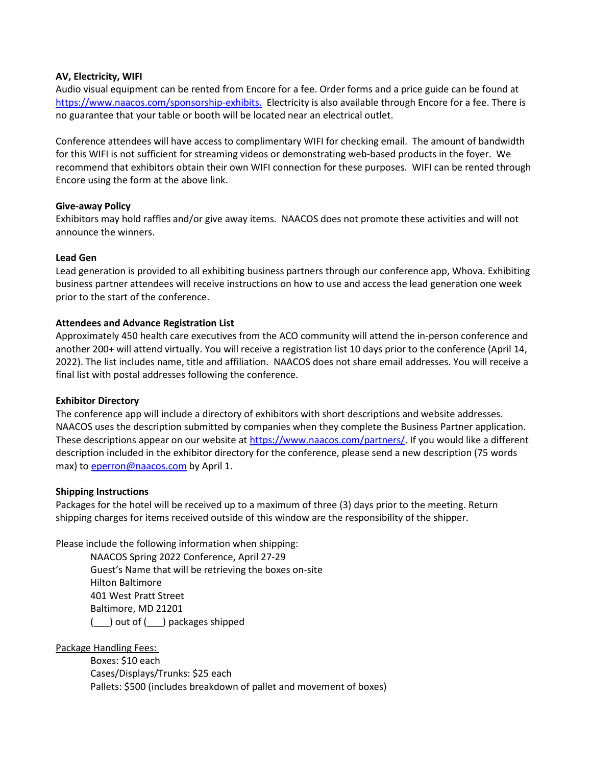# **AV, Electricity, WIFI**

Audio visual equipment can be rented from Encore for a fee. Order forms and a price guide can be found at <https://www.naacos.com/sponsorship-exhibits.> Electricity is also available through Encore for a fee. There is no guarantee that your table or booth will be located near an electrical outlet.

Conference attendees will have access to complimentary WIFI for checking email. The amount of bandwidth for this WIFI is not sufficient for streaming videos or demonstrating web-based products in the foyer. We recommend that exhibitors obtain their own WIFI connection for these purposes. WIFI can be rented through Encore using the form at the above link.

### **Give-away Policy**

Exhibitors may hold raffles and/or give away items. NAACOS does not promote these activities and will not announce the winners.

### **Lead Gen**

Lead generation is provided to all exhibiting business partners through our conference app, Whova. Exhibiting business partner attendees will receive instructions on how to use and access the lead generation one week prior to the start of the conference.

### **Attendees and Advance Registration List**

Approximately 450 health care executives from the ACO community will attend the in-person conference and another 200+ will attend virtually. You will receive a registration list 10 days prior to the conference (April 14, 2022). The list includes name, title and affiliation. NAACOS does not share email addresses. You will receive a final list with postal addresses following the conference.

#### **Exhibitor Directory**

The conference app will include a directory of exhibitors with short descriptions and website addresses. NAACOS uses the description submitted by companies when they complete the Business Partner application. These descriptions appear on our website at [https://www.naacos.com/partners/.](https://www.naacos.com/partners/) If you would like a different description included in the exhibitor directory for the conference, please send a new description (75 words max) to [eperron@naacos.com](mailto:eperron@naacos.com) by April 1.

#### **Shipping Instructions**

Packages for the hotel will be received up to a maximum of three (3) days prior to the meeting. Return shipping charges for items received outside of this window are the responsibility of the shipper.

Please include the following information when shipping:

NAACOS Spring 2022 Conference, April 27-29 Guest's Name that will be retrieving the boxes on-site Hilton Baltimore 401 West Pratt Street Baltimore, MD 21201 (\_\_\_) out of (\_\_\_) packages shipped

Package Handling Fees:

Boxes: \$10 each Cases/Displays/Trunks: \$25 each Pallets: \$500 (includes breakdown of pallet and movement of boxes)